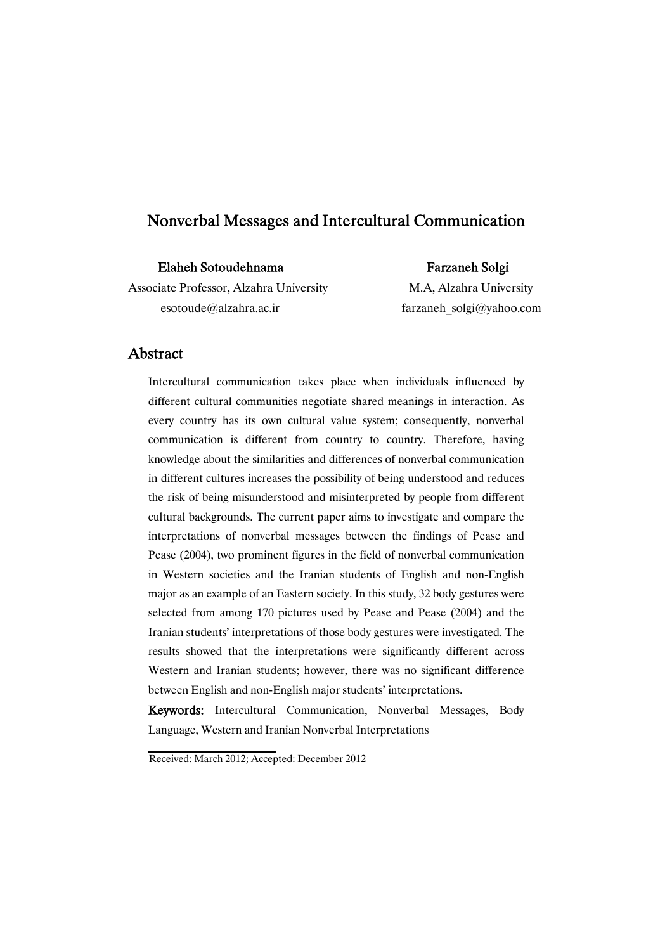| Elaheh Sotoudehnama                     | <b>Farzaneh Solgi</b>    |
|-----------------------------------------|--------------------------|
| Associate Professor, Alzahra University | M.A, Alzahra University  |
| esotoude@alzahra.ac.ir                  | farzaneh solgi@yahoo.com |

### Abstract

Intercultural communication takes place when individuals influenced by different cultural communities negotiate shared meanings in interaction. As every country has its own cultural value system; consequently, nonverbal communication is different from country to country. Therefore, having knowledge about the similarities and differences of nonverbal communication in different cultures increases the possibility of being understood and reduces the risk of being misunderstood and misinterpreted by people from different cultural backgrounds. The current paper aims to investigate and compare the interpretations of nonverbal messages between the findings of Pease and Pease (2004), two prominent figures in the field of nonverbal communication in Western societies and the Iranian students of English and non-English major as an example of an Eastern society. In this study, 32 body gestures were selected from among 170 pictures used by Pease and Pease (2004) and the Iranian students' interpretations of those body gestures were investigated. The results showed that the interpretations were significantly different across Western and Iranian students; however, there was no significant difference between English and non-English major students' interpretations.

Keywords: Intercultural Communication, Nonverbal Messages, Body Language, Western and Iranian Nonverbal Interpretations

Received: March 2012; Accepted: December 2012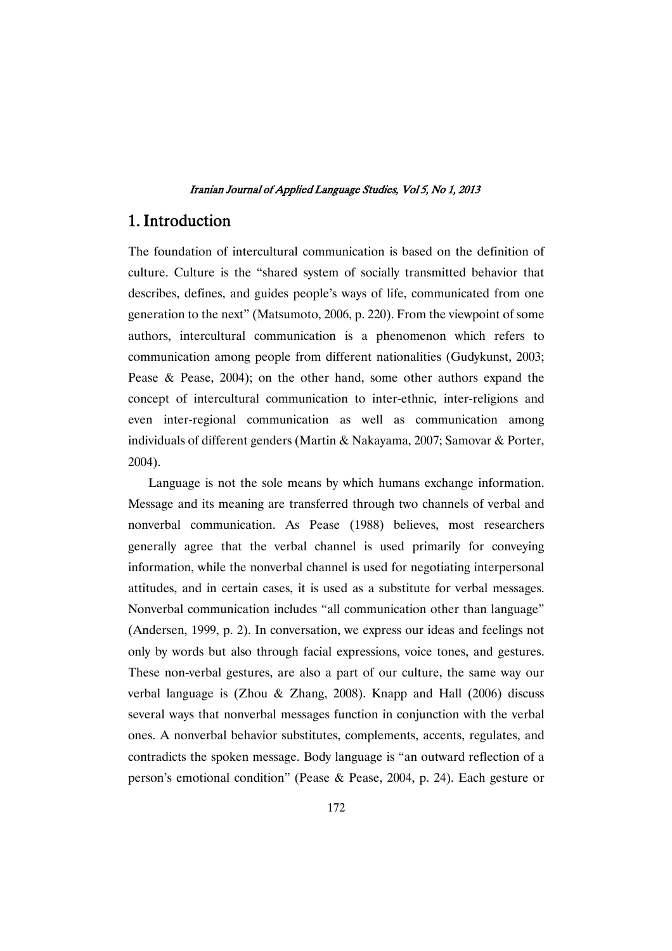### 1. Introduction

The foundation of intercultural communication is based on the definition of culture. Culture is the "shared system of socially transmitted behavior that describes, defines, and guides people's ways of life, communicated from one generation to the next" (Matsumoto, 2006, p. 220). From the viewpoint of some authors, intercultural communication is a phenomenon which refers to communication among people from different nationalities (Gudykunst, 2003; Pease & Pease, 2004); on the other hand, some other authors expand the concept of intercultural communication to inter-ethnic, inter-religions and even inter-regional communication as well as communication among individuals of different genders (Martin & Nakayama, 2007; Samovar & Porter, 2004).

Language is not the sole means by which humans exchange information. Message and its meaning are transferred through two channels of verbal and nonverbal communication. As Pease (1988) believes, most researchers generally agree that the verbal channel is used primarily for conveying information, while the nonverbal channel is used for negotiating interpersonal attitudes, and in certain cases, it is used as a substitute for verbal messages. Nonverbal communication includes "all communication other than language" (Andersen, 1999, p. 2). In conversation, we express our ideas and feelings not only by words but also through facial expressions, voice tones, and gestures. These non-verbal gestures, are also a part of our culture, the same way our verbal language is (Zhou & Zhang, 2008). Knapp and Hall (2006) discuss several ways that nonverbal messages function in conjunction with the verbal ones. A nonverbal behavior substitutes, complements, accents, regulates, and contradicts the spoken message. Body language is "an outward reflection of a person's emotional condition" (Pease & Pease, 2004, p. 24). Each gesture or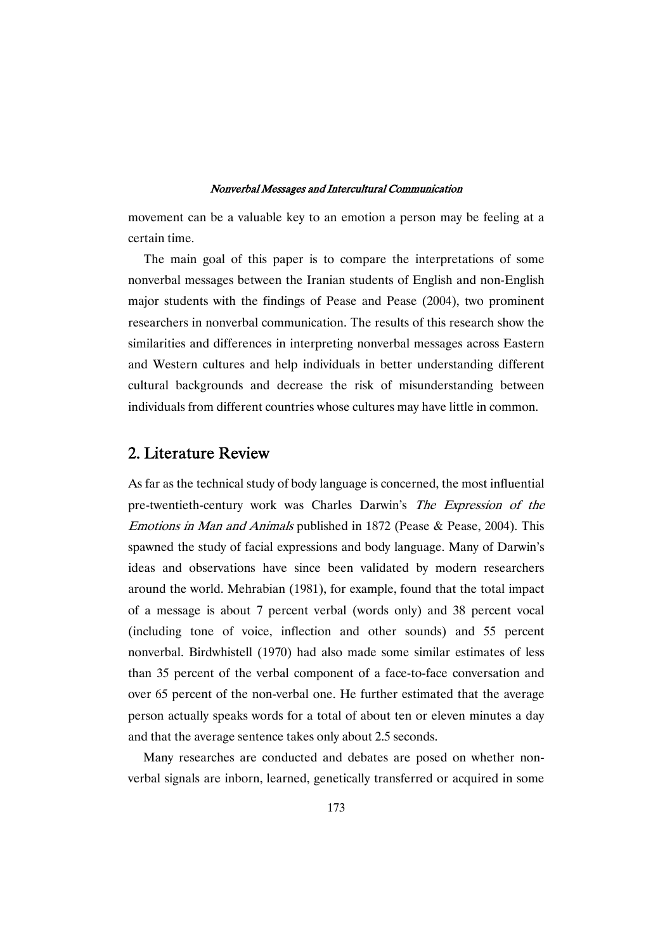movement can be a valuable key to an emotion a person may be feeling at a certain time.

The main goal of this paper is to compare the interpretations of some nonverbal messages between the Iranian students of English and non-English major students with the findings of Pease and Pease (2004), two prominent researchers in nonverbal communication. The results of this research show the similarities and differences in interpreting nonverbal messages across Eastern and Western cultures and help individuals in better understanding different cultural backgrounds and decrease the risk of misunderstanding between individuals from different countries whose cultures may have little in common.

# 2. Literature Review

As far as the technical study of body language is concerned, the most influential pre-twentieth-century work was Charles Darwin's The Expression of the Emotions in Man and Animals published in 1872 (Pease & Pease, 2004). This spawned the study of facial expressions and body language. Many of Darwin's ideas and observations have since been validated by modern researchers around the world. Mehrabian (1981), for example, found that the total impact of a message is about 7 percent verbal (words only) and 38 percent vocal (including tone of voice, inflection and other sounds) and 55 percent nonverbal. Birdwhistell (1970) had also made some similar estimates of less than 35 percent of the verbal component of a face-to-face conversation and over 65 percent of the non-verbal one. He further estimated that the average person actually speaks words for a total of about ten or eleven minutes a day and that the average sentence takes only about 2.5 seconds.

Many researches are conducted and debates are posed on whether nonverbal signals are inborn, learned, genetically transferred or acquired in some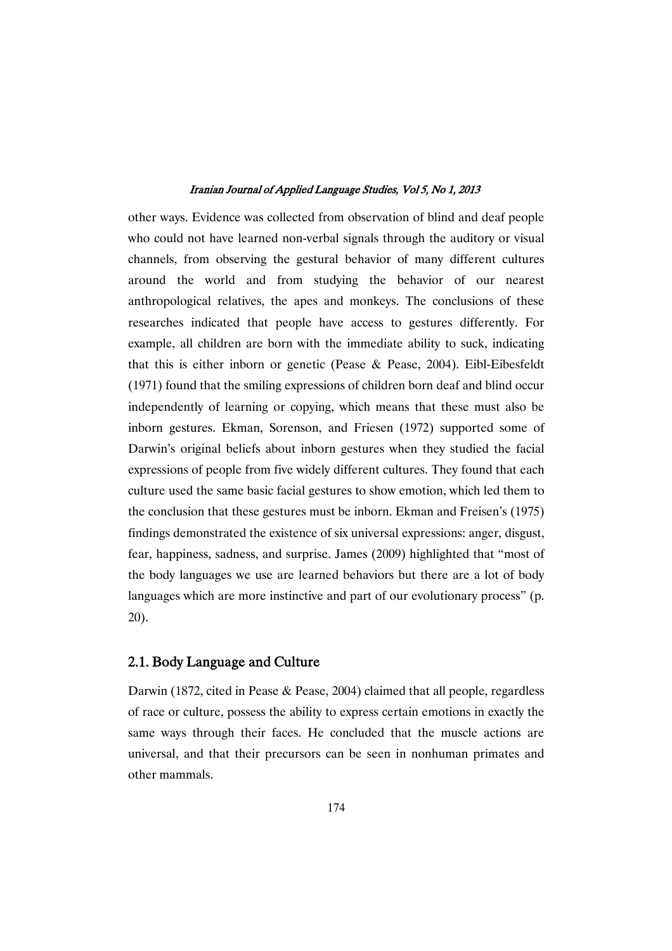other ways. Evidence was collected from observation of blind and deaf people who could not have learned non-verbal signals through the auditory or visual channels, from observing the gestural behavior of many different cultures around the world and from studying the behavior of our nearest anthropological relatives, the apes and monkeys. The conclusions of these researches indicated that people have access to gestures differently. For example, all children are born with the immediate ability to suck, indicating that this is either inborn or genetic (Pease & Pease, 2004). Eibl-Eibesfeldt (1971) found that the smiling expressions of children born deaf and blind occur independently of learning or copying, which means that these must also be inborn gestures. Ekman, Sorenson, and Friesen (1972) supported some of Darwin's original beliefs about inborn gestures when they studied the facial expressions of people from five widely different cultures. They found that each culture used the same basic facial gestures to show emotion, which led them to the conclusion that these gestures must be inborn. Ekman and Freisen's (1975) findings demonstrated the existence of six universal expressions: anger, disgust, fear, happiness, sadness, and surprise. James (2009) highlighted that "most of the body languages we use are learned behaviors but there are a lot of body languages which are more instinctive and part of our evolutionary process" (p. 20).

### 2.1. Body Language and Culture

Darwin (1872, cited in Pease & Pease, 2004) claimed that all people, regardless of race or culture, possess the ability to express certain emotions in exactly the same ways through their faces. He concluded that the muscle actions are universal, and that their precursors can be seen in nonhuman primates and other mammals.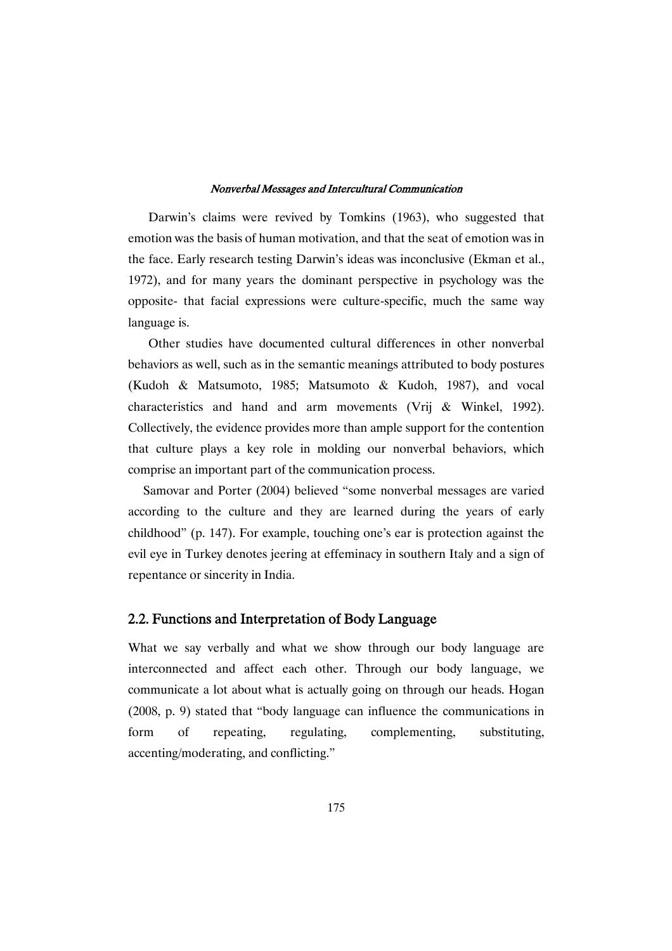Darwin's claims were revived by Tomkins (1963), who suggested that emotion was the basis of human motivation, and that the seat of emotion was in the face. Early research testing Darwin's ideas was inconclusive (Ekman et al., 1972), and for many years the dominant perspective in psychology was the opposite- that facial expressions were culture-specific, much the same way language is.

Other studies have documented cultural differences in other nonverbal behaviors as well, such as in the semantic meanings attributed to body postures (Kudoh & Matsumoto, 1985; Matsumoto & Kudoh, 1987), and vocal characteristics and hand and arm movements (Vrij & Winkel, 1992). Collectively, the evidence provides more than ample support for the contention that culture plays a key role in molding our nonverbal behaviors, which comprise an important part of the communication process.

Samovar and Porter (2004) believed "some nonverbal messages are varied according to the culture and they are learned during the years of early childhood" (p. 147). For example, touching one's ear is protection against the evil eye in Turkey denotes jeering at effeminacy in southern Italy and a sign of repentance or sincerity in India.

### 2.2. Functions and Interpretation of Body Language

What we say verbally and what we show through our body language are interconnected and affect each other. Through our body language, we communicate a lot about what is actually going on through our heads. Hogan (2008, p. 9) stated that "body language can influence the communications in form of repeating, regulating, complementing, substituting, accenting/moderating, and conflicting."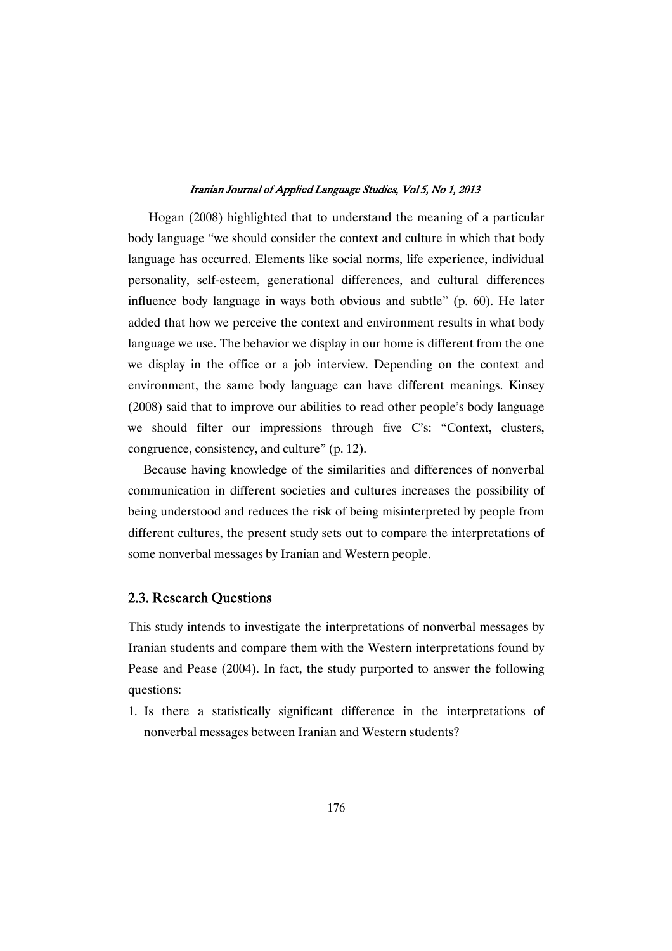Hogan (2008) highlighted that to understand the meaning of a particular body language "we should consider the context and culture in which that body language has occurred. Elements like social norms, life experience, individual personality, self-esteem, generational differences, and cultural differences influence body language in ways both obvious and subtle" (p. 60). He later added that how we perceive the context and environment results in what body language we use. The behavior we display in our home is different from the one we display in the office or a job interview. Depending on the context and environment, the same body language can have different meanings. Kinsey (2008) said that to improve our abilities to read other people's body language we should filter our impressions through five C's: "Context, clusters, congruence, consistency, and culture" (p. 12).

Because having knowledge of the similarities and differences of nonverbal communication in different societies and cultures increases the possibility of being understood and reduces the risk of being misinterpreted by people from different cultures, the present study sets out to compare the interpretations of some nonverbal messages by Iranian and Western people.

### 2.3. Research Questions

This study intends to investigate the interpretations of nonverbal messages by Iranian students and compare them with the Western interpretations found by Pease and Pease (2004). In fact, the study purported to answer the following questions:

1. Is there a statistically significant difference in the interpretations of nonverbal messages between Iranian and Western students?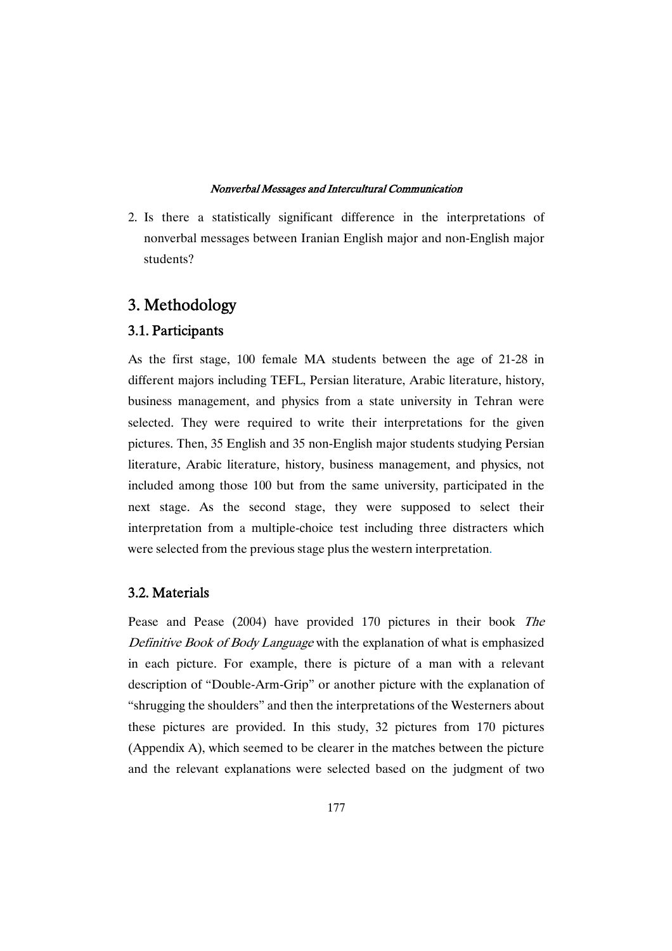2. Is there a statistically significant difference in the interpretations of nonverbal messages between Iranian English major and non-English major students?

# 3. Methodology

### 3.1. Participants

As the first stage, 100 female MA students between the age of 21-28 in different majors including TEFL, Persian literature, Arabic literature, history, business management, and physics from a state university in Tehran were selected. They were required to write their interpretations for the given pictures. Then, 35 English and 35 non-English major students studying Persian literature, Arabic literature, history, business management, and physics, not included among those 100 but from the same university, participated in the next stage. As the second stage, they were supposed to select their interpretation from a multiple-choice test including three distracters which were selected from the previous stage plus the western interpretation.

### 3.2. Materials

Pease and Pease (2004) have provided 170 pictures in their book The Definitive Book of Body Language with the explanation of what is emphasized in each picture. For example, there is picture of a man with a relevant description of "Double-Arm-Grip" or another picture with the explanation of "shrugging the shoulders" and then the interpretations of the Westerners about these pictures are provided. In this study, 32 pictures from 170 pictures (Appendix A), which seemed to be clearer in the matches between the picture and the relevant explanations were selected based on the judgment of two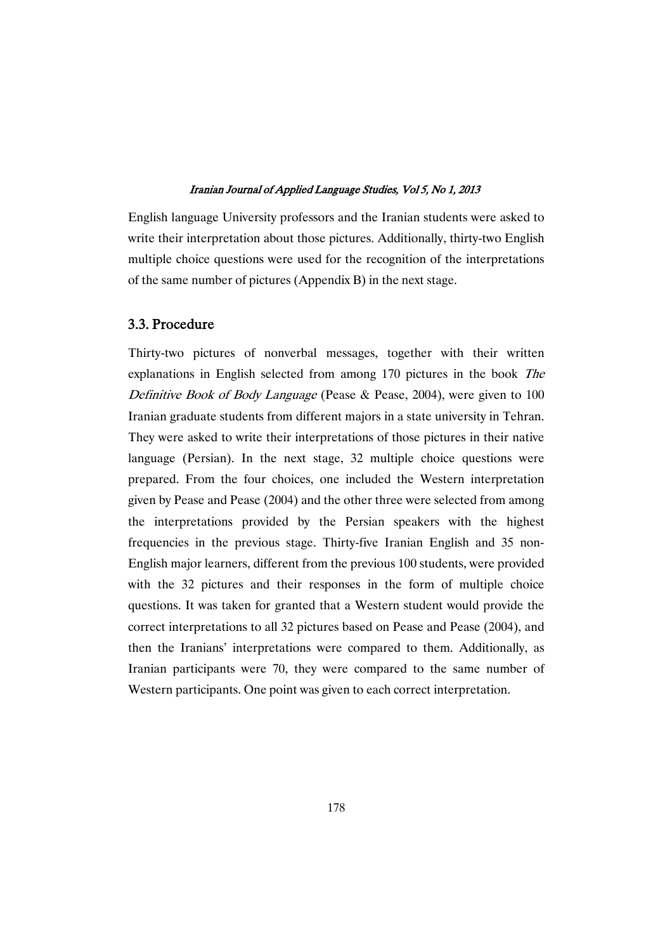English language University professors and the Iranian students were asked to write their interpretation about those pictures. Additionally, thirty-two English multiple choice questions were used for the recognition of the interpretations of the same number of pictures (Appendix B) in the next stage.

### 3.3. Procedure

Thirty-two pictures of nonverbal messages, together with their written explanations in English selected from among 170 pictures in the book The Definitive Book of Body Language (Pease & Pease, 2004), were given to 100 Iranian graduate students from different majors in a state university in Tehran. They were asked to write their interpretations of those pictures in their native language (Persian). In the next stage, 32 multiple choice questions were prepared. From the four choices, one included the Western interpretation given by Pease and Pease (2004) and the other three were selected from among the interpretations provided by the Persian speakers with the highest frequencies in the previous stage. Thirty-five Iranian English and 35 non-English major learners, different from the previous 100 students, were provided with the 32 pictures and their responses in the form of multiple choice questions. It was taken for granted that a Western student would provide the correct interpretations to all 32 pictures based on Pease and Pease (2004), and then the Iranians' interpretations were compared to them. Additionally, as Iranian participants were 70, they were compared to the same number of Western participants. One point was given to each correct interpretation.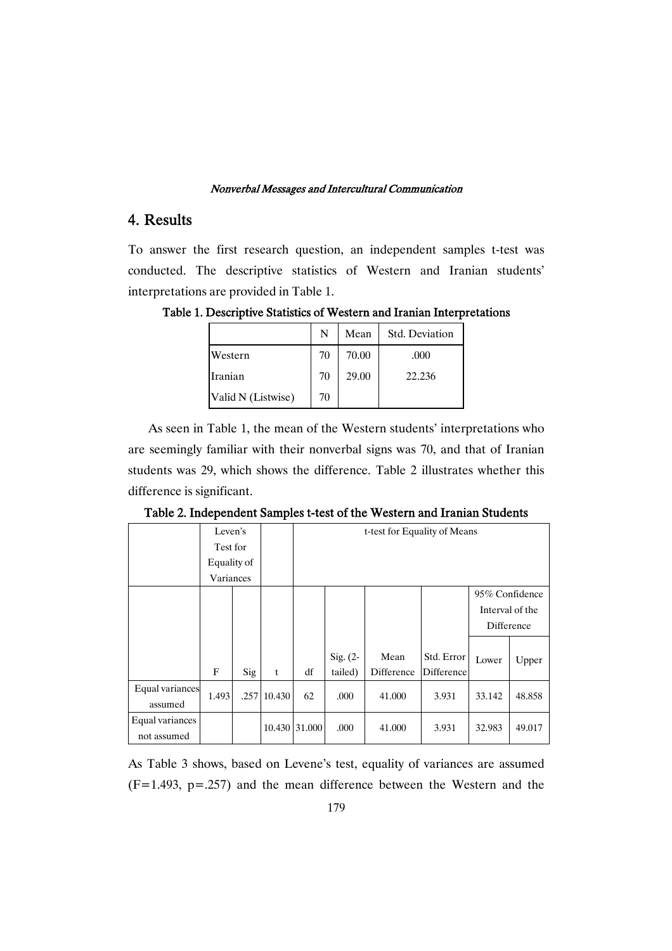# 4. Results

To answer the first research question, an independent samples t-test was conducted. The descriptive statistics of Western and Iranian students' interpretations are provided in Table 1.

N Mean Std. Deviation Western  $\begin{array}{|c|c|c|c|c|c|} \hline 70 & 70.00 & \text{.000} \ \hline \end{array}$ Iranian 70 29.00 22.236

Valid N (Listwise)  $\begin{array}{|c|c|} \hline \end{array}$  70

Table 1. Descriptive Statistics of Western and Iranian Interpretations

As seen in Table 1, the mean of the Western students' interpretations who are seemingly familiar with their nonverbal signs was 70, and that of Iranian students was 29, which shows the difference. Table 2 illustrates whether this difference is significant.

| Table 2. Independent Samples t-test of the Western and Iranian Students |  |  |
|-------------------------------------------------------------------------|--|--|
|-------------------------------------------------------------------------|--|--|

|                 | Leven's     |     |                               | t-test for Equality of Means |            |            |            |                |                 |
|-----------------|-------------|-----|-------------------------------|------------------------------|------------|------------|------------|----------------|-----------------|
|                 | Test for    |     |                               |                              |            |            |            |                |                 |
|                 | Equality of |     |                               |                              |            |            |            |                |                 |
|                 | Variances   |     |                               |                              |            |            |            |                |                 |
|                 |             |     |                               |                              |            |            |            | 95% Confidence |                 |
|                 |             |     |                               |                              |            |            |            |                | Interval of the |
|                 |             |     |                               |                              |            |            |            | Difference     |                 |
|                 |             |     |                               |                              |            |            |            |                |                 |
|                 |             |     |                               |                              | Sig. $(2-$ | Mean       | Std. Error | Lower          | Upper           |
|                 | F           | Sig | t                             | df                           | tailed)    | Difference | Difference |                |                 |
| Equal variances | 1.493       |     | $.257 \,   \, 10.430 \,   \,$ | 62                           | .000       | 41.000     | 3.931      | 33.142         | 48.858          |
| assumed         |             |     |                               |                              |            |            |            |                |                 |
| Equal variances |             |     |                               | 10.430 31.000                |            |            |            |                |                 |
| not assumed     |             |     |                               |                              | .000       | 41.000     | 3.931      | 32.983         | 49.017          |

As Table 3 shows, based on Levene's test, equality of variances are assumed  $(F=1.493, p=.257)$  and the mean difference between the Western and the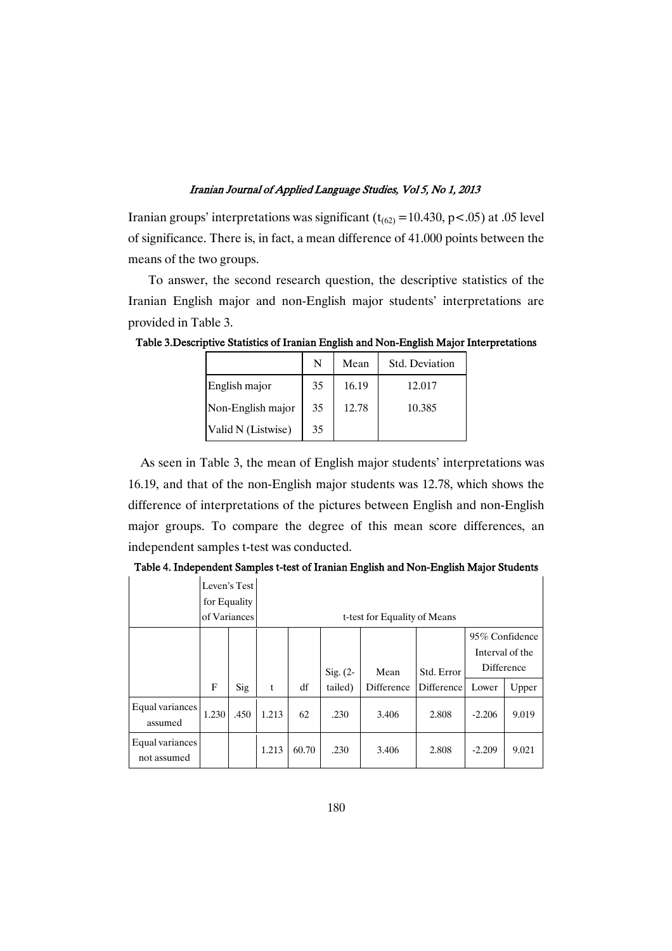Iranian groups' interpretations was significant ( $t_{(62)}$  = 10.430, p < .05) at .05 level of significance. There is, in fact, a mean difference of 41.000 points between the means of the two groups.

To answer, the second research question, the descriptive statistics of the Iranian English major and non-English major students' interpretations are provided in Table 3.

|                    | N  | Mean  | Std. Deviation |
|--------------------|----|-------|----------------|
| English major      | 35 | 16.19 | 12.017         |
| Non-English major  | 35 | 12.78 | 10.385         |
| Valid N (Listwise) | 35 |       |                |

Table 3.Descriptive Statistics of Iranian English and Non-English Major Interpretations

As seen in Table 3, the mean of English major students' interpretations was 16.19, and that of the non-English major students was 12.78, which shows the difference of interpretations of the pictures between English and non-English major groups. To compare the degree of this mean score differences, an independent samples t-test was conducted.

Table 4. Independent Samples t-test of Iranian English and Non-English Major Students

|                                | of Variances | Leven's Test<br>for Equality |       |       |            | t-test for Equality of Means |            |                                                 |       |
|--------------------------------|--------------|------------------------------|-------|-------|------------|------------------------------|------------|-------------------------------------------------|-------|
|                                |              |                              |       |       | Sig. $(2-$ | Mean                         | Std. Error | 95% Confidence<br>Interval of the<br>Difference |       |
|                                | F            | Sig                          | t     | df    | tailed)    | Difference                   | Difference | Lower                                           | Upper |
| Equal variances<br>assumed     | 1.230        | .450                         | 1.213 | 62    | .230       | 3.406                        | 2.808      | $-2.206$                                        | 9.019 |
| Equal variances<br>not assumed |              |                              | 1.213 | 60.70 | .230       | 3.406                        | 2.808      | $-2.209$                                        | 9.021 |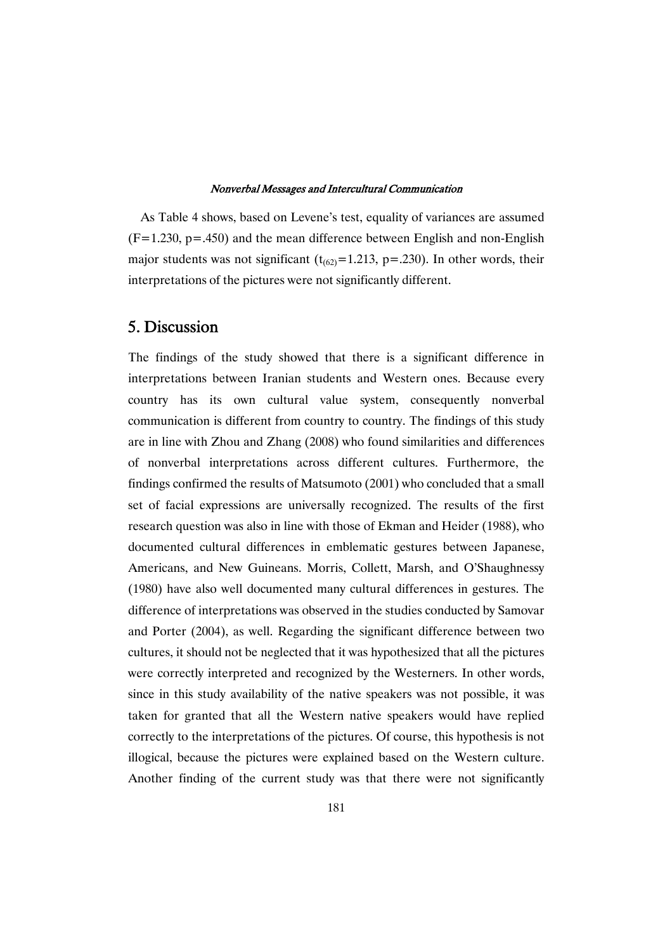As Table 4 shows, based on Levene's test, equality of variances are assumed  $(F=1.230, p=.450)$  and the mean difference between English and non-English major students was not significant ( $t_{(62)}$ =1.213, p=.230). In other words, their interpretations of the pictures were not significantly different.

# 5. Discussion

The findings of the study showed that there is a significant difference in interpretations between Iranian students and Western ones. Because every country has its own cultural value system, consequently nonverbal communication is different from country to country. The findings of this study are in line with Zhou and Zhang (2008) who found similarities and differences of nonverbal interpretations across different cultures. Furthermore, the findings confirmed the results of Matsumoto (2001) who concluded that a small set of facial expressions are universally recognized. The results of the first research question was also in line with those of Ekman and Heider (1988), who documented cultural differences in emblematic gestures between Japanese, Americans, and New Guineans. Morris, Collett, Marsh, and O'Shaughnessy (1980) have also well documented many cultural differences in gestures. The difference of interpretations was observed in the studies conducted by Samovar and Porter (2004), as well. Regarding the significant difference between two cultures, it should not be neglected that it was hypothesized that all the pictures were correctly interpreted and recognized by the Westerners. In other words, since in this study availability of the native speakers was not possible, it was taken for granted that all the Western native speakers would have replied correctly to the interpretations of the pictures. Of course, this hypothesis is not illogical, because the pictures were explained based on the Western culture. Another finding of the current study was that there were not significantly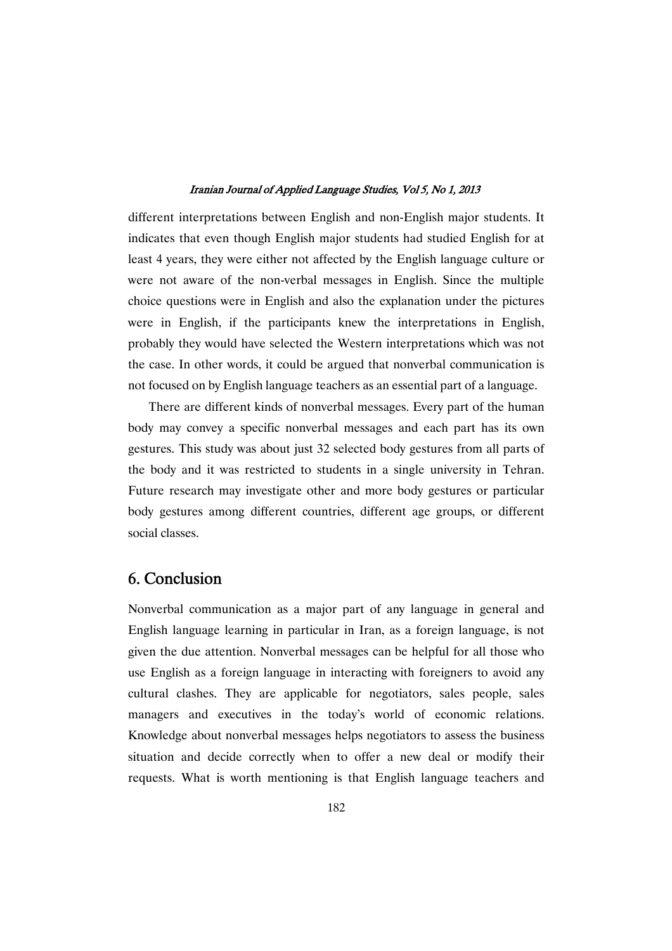different interpretations between English and non-English major students. It indicates that even though English major students had studied English for at least 4 years, they were either not affected by the English language culture or were not aware of the non-verbal messages in English. Since the multiple choice questions were in English and also the explanation under the pictures were in English, if the participants knew the interpretations in English, probably they would have selected the Western interpretations which was not the case. In other words, it could be argued that nonverbal communication is not focused on by English language teachers as an essential part of a language.

There are different kinds of nonverbal messages. Every part of the human body may convey a specific nonverbal messages and each part has its own gestures. This study was about just 32 selected body gestures from all parts of the body and it was restricted to students in a single university in Tehran. Future research may investigate other and more body gestures or particular body gestures among different countries, different age groups, or different social classes.

# 6. Conclusion

Nonverbal communication as a major part of any language in general and English language learning in particular in Iran, as a foreign language, is not given the due attention. Nonverbal messages can be helpful for all those who use English as a foreign language in interacting with foreigners to avoid any cultural clashes. They are applicable for negotiators, sales people, sales managers and executives in the today's world of economic relations. Knowledge about nonverbal messages helps negotiators to assess the business situation and decide correctly when to offer a new deal or modify their requests. What is worth mentioning is that English language teachers and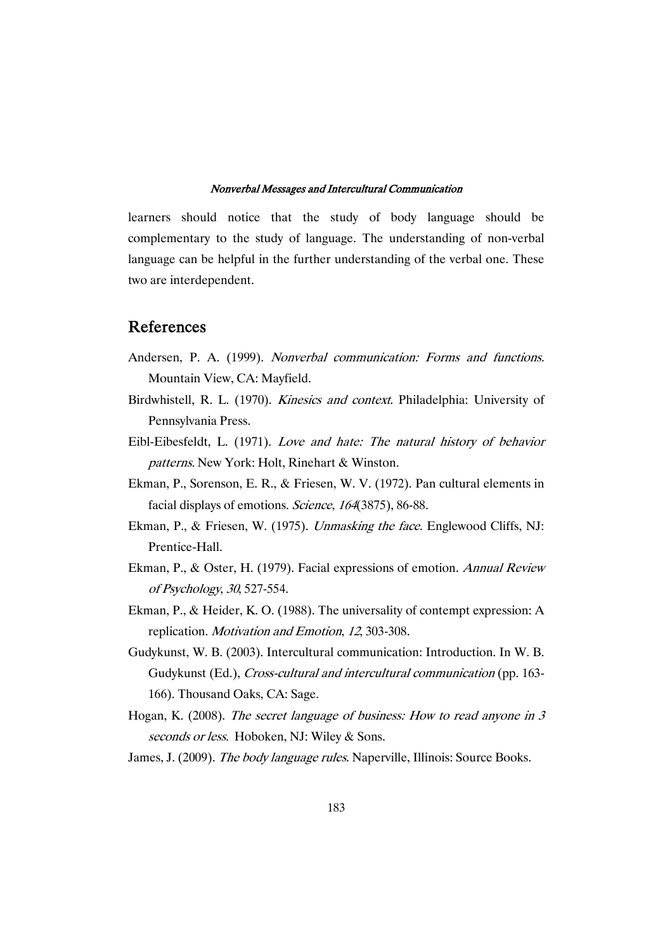learners should notice that the study of body language should be complementary to the study of language. The understanding of non-verbal language can be helpful in the further understanding of the verbal one. These two are interdependent.

# References

- Andersen, P. A. (1999). Nonverbal communication: Forms and functions. Mountain View, CA: Mayfield.
- Birdwhistell, R. L. (1970). Kinesics and context. Philadelphia: University of Pennsylvania Press.
- Eibl-Eibesfeldt, L. (1971). Love and hate: The natural history of behavior patterns. New York: Holt, Rinehart & Winston.
- Ekman, P., Sorenson, E. R., & Friesen, W. V. (1972). Pan cultural elements in facial displays of emotions. Science, 164(3875), 86-88.
- Ekman, P., & Friesen, W. (1975). Unmasking the face. Englewood Cliffs, NJ: Prentice-Hall.
- Ekman, P., & Oster, H. (1979). Facial expressions of emotion. Annual Review of Psychology, <sup>30</sup>, 527-554.
- Ekman, P., & Heider, K. O. (1988). The universality of contempt expression: A replication. Motivation and Emotion, <sup>12</sup>, 303-308.
- Gudykunst, W. B. (2003). Intercultural communication: Introduction. In W. B. Gudykunst (Ed.), Cross-cultural and intercultural communication (pp. 163- 166). Thousand Oaks, CA: Sage.
- Hogan, K. (2008). The secret language of business: How to read anyone in <sup>3</sup> seconds or less. Hoboken, NJ: Wiley & Sons.
- James, J. (2009). The body language rules. Naperville, Illinois: Source Books.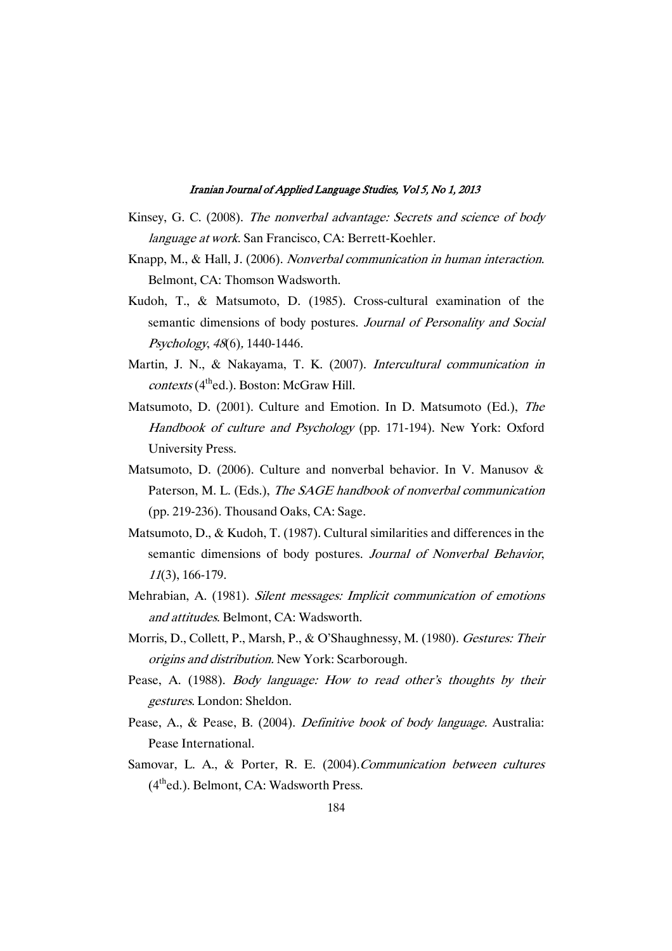- Kinsey, G. C. (2008). The nonverbal advantage: Secrets and science of body language at work. San Francisco, CA: Berrett-Koehler.
- Knapp, M., & Hall, J. (2006). Nonverbal communication in human interaction. Belmont, CA: Thomson Wadsworth.
- Kudoh, T., & Matsumoto, D. (1985). Cross-cultural examination of the semantic dimensions of body postures. Journal of Personality and Social Psychology, <sup>48</sup>(6), 1440-1446.
- Martin, J. N., & Nakayama, T. K. (2007). Intercultural communication in  $contexts(4<sup>th</sup>ed.)$ . Boston: McGraw Hill.
- Matsumoto, D. (2001). Culture and Emotion. In D. Matsumoto (Ed.), The Handbook of culture and Psychology (pp. 171-194). New York: Oxford University Press.
- Matsumoto, D. (2006). Culture and nonverbal behavior. In V. Manusov  $\&$ Paterson, M. L. (Eds.), The SAGE handbook of nonverbal communication (pp. 219-236). Thousand Oaks, CA: Sage.
- Matsumoto, D., & Kudoh, T. (1987). Cultural similarities and differences in the semantic dimensions of body postures. Journal of Nonverbal Behavior, <sup>11</sup>(3), 166-179.
- Mehrabian, A. (1981). Silent messages: Implicit communication of emotions and attitudes. Belmont, CA: Wadsworth.
- Morris, D., Collett, P., Marsh, P., & O'Shaughnessy, M. (1980). Gestures: Their origins and distribution. New York: Scarborough.
- Pease, A. (1988). *Body language: How to read other's thoughts by their* gestures. London: Sheldon.
- Pease, A., & Pease, B. (2004). *Definitive book of body language*. Australia: Pease International.
- Samovar, L. A., & Porter, R. E. (2004).Communication between cultures (4thed.). Belmont, CA: Wadsworth Press.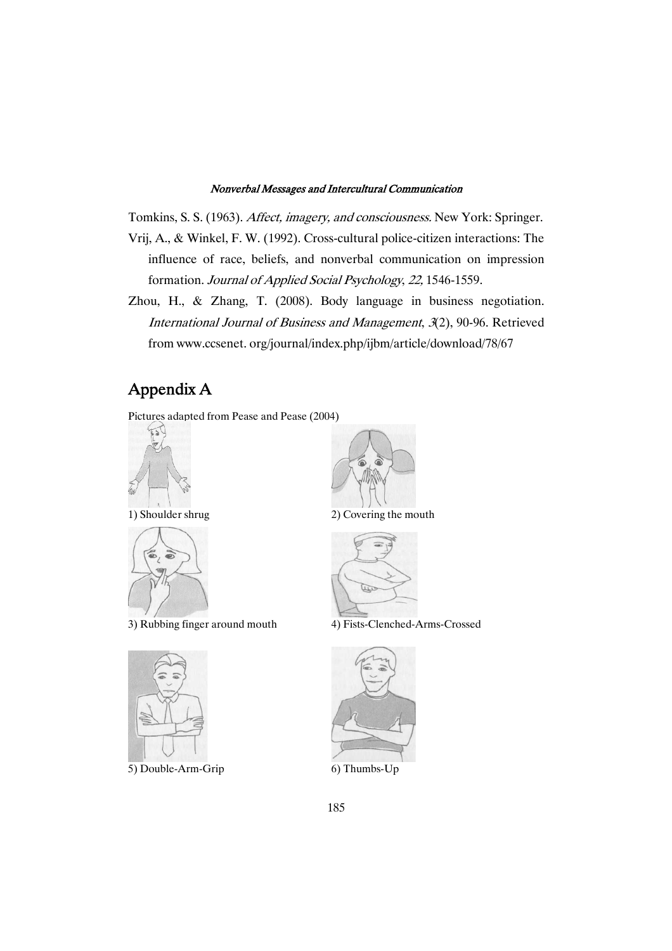Tomkins, S. S. (1963). Affect, imagery, and consciousness. New York: Springer.

- Vrij, A., & Winkel, F. W. (1992). Cross-cultural police-citizen interactions: The influence of race, beliefs, and nonverbal communication on impression formation. Journal of Applied Social Psychology, 22, 1546-1559.
- Zhou, H., & Zhang, T. (2008). Body language in business negotiation. International Journal of Business and Management, <sup>3</sup>(2), 90-96. Retrieved from www.ccsenet. org/journal/index.php/ijbm/article/download/78/67

# Appendix A

Pictures adapted from Pease and Pease (2004)





3) Rubbing finger around mouth 4) Fists-Clenched-Arms-Crossed



5) Double-Arm-Grip 6) Thumbs-Up



1) Shoulder shrug 2) Covering the mouth



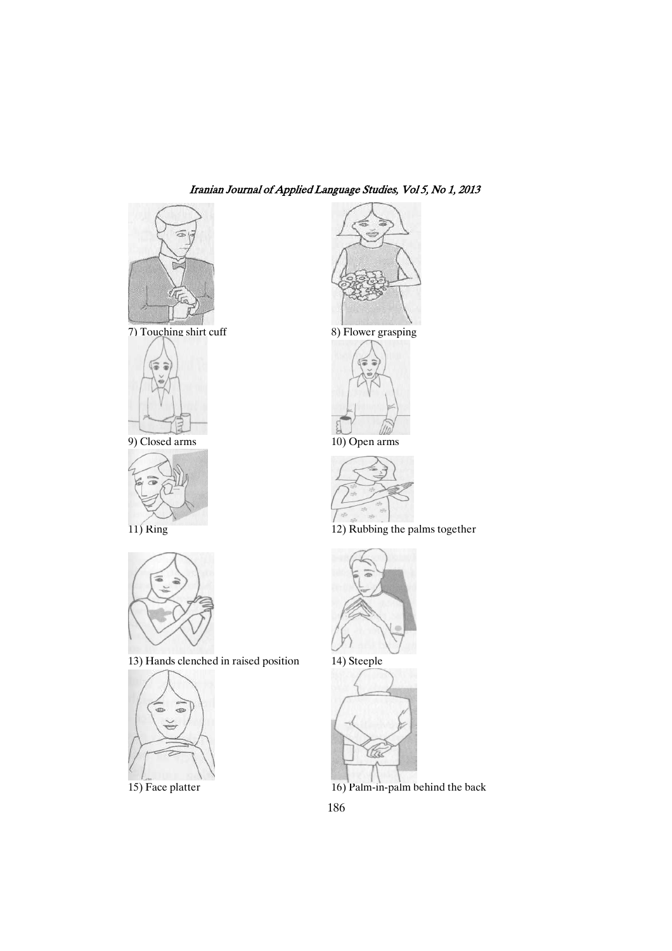







13) Hands clenched in raised position 14) Steeple







9) Closed arms 10) Open arms



11) Ring 12) Rubbing the palms together







15) Face platter 16) Palm-in-palm behind the back

186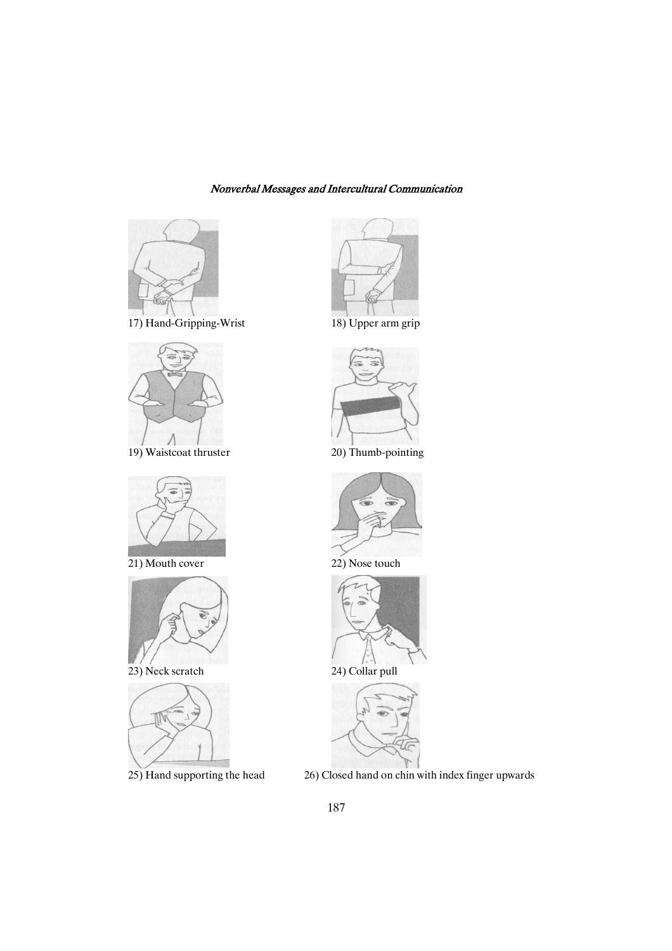

17) Hand-Gripping-Wrist 18) Upper arm grip



19) Waistcoat thruster 20) Thumb-pointing



21) Mouth cover 22) Nose touch



23) Neck scratch 24) Collar pull













25) Hand supporting the head 26) Closed hand on chin with index finger upwards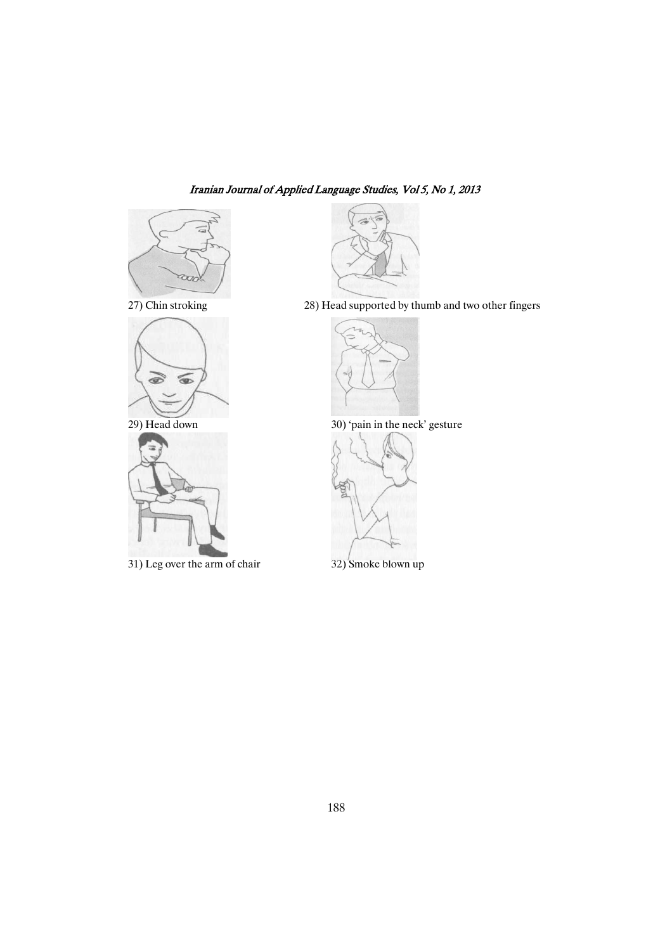





31) Leg over the arm of chair 32) Smoke blown up



27) Chin stroking 28) Head supported by thumb and two other fingers



29) Head down 30) 'pain in the neck' gesture